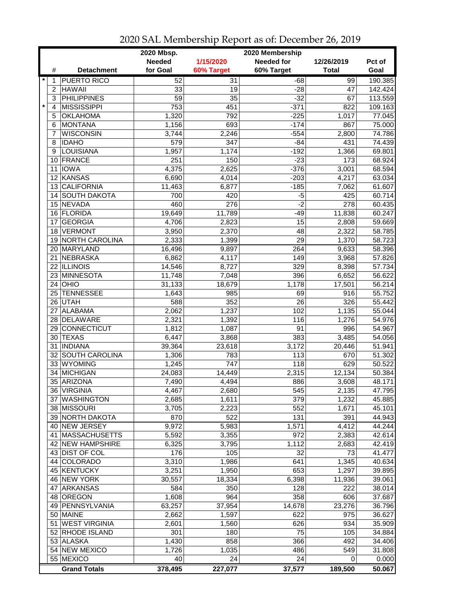| <b>Needed</b><br><b>Needed for</b><br>1/15/2020<br>12/26/2019<br>Pct of<br>for Goal<br>60% Target<br>#<br><b>Detachment</b><br>60% Target<br><b>Total</b><br>Goal<br>$\star$<br><b>PUERTO RICO</b><br>$\overline{31}$<br>99<br>190.385<br>52<br>$-68$<br>1<br><b>HAWAII</b><br>33<br>19<br>$\overline{c}$<br>$-28$<br>47<br>142.424<br><b>PHILIPPINES</b><br>$\overline{59}$<br>35<br>$-32$<br>67<br>3<br>113.559<br>$\star$<br><b>MISSISSIPPI</b><br>451<br>$-371$<br>753<br>822<br>109.163<br>4<br>792<br><b>OKLAHOMA</b><br>1,320<br>$-225$<br>77.045<br>5<br>1,017<br><b>MONTANA</b><br>$-174$<br>1,156<br>693<br>6<br>867<br>75.000<br><b>WISCONSIN</b><br>$-554$<br>3,744<br>2,246<br>2,800<br>74.786<br>7<br>347<br>74.439<br><b>IDAHO</b><br>579<br>$-84$<br>8<br>431<br>$-192$<br>LOUISIANA<br>1,957<br>1,174<br>1,366<br>69.801<br>9<br>150<br>$-23$<br>68.924<br>FRANCE<br>251<br>173<br>10<br><b>IOWA</b><br>4,375<br>2,625<br>$-376$<br>3,001<br>68.594<br>11<br>KANSAS<br>6,690<br>$-203$<br>4,217<br>63.034<br>12<br>4,014<br><b>CALIFORNIA</b><br>11,463<br>6,877<br>$-185$<br>7,062<br>61.607<br>13<br>60.714<br><b>SOUTH DAKOTA</b><br>700<br>420<br>$-5$<br>425<br>14 <sup>1</sup><br>$-2$<br>15 NEVADA<br>460<br>276<br>278<br>16 FLORIDA<br>11,838<br>19,649<br>11,789<br>$-49$<br><b>GEORGIA</b><br>4,706<br>15<br>17<br>2,823<br>2,808<br><b>VERMONT</b><br>48<br>3,950<br>2,370<br>2,322<br>18<br>29<br><b>NORTH CAROLINA</b><br>2,333<br>1,399<br>1,370<br>19<br>20 MARYLAND<br>16,496<br>9,897<br>264<br>9,633<br>NEBRASKA<br>6,862<br>149<br>21<br>4,117<br>3,968<br>57.826<br>22 ILLINOIS<br>329<br>14,546<br>8,727<br>8,398<br>57.734<br>23 MINNESOTA<br>396<br>11,748<br>7,048<br>6,652<br>56.622<br>56.214<br>$24$ OHIO<br>31,133<br>18,679<br>1,178<br>17,501<br>TENNESSEE<br>55.752<br>985<br>25<br>1,643<br>69<br>916<br>588<br>352<br>$\overline{26}$<br>326<br>55.442<br>26 UTAH<br><b>ALABAMA</b><br>2,062<br>102<br>55.044<br>27<br>1,237<br>1,135<br>DELAWARE<br>2,321<br>1,392<br>116<br>1,276<br>54.976<br>28<br>91<br><b>CONNECTICUT</b><br>1,087<br>996<br>54.967<br>29<br>1,812<br><b>TEXAS</b><br>383<br>3,485<br>54.056<br>30<br>6,447<br>3,868<br>51.941<br><b>INDIANA</b><br>31<br>39,364<br>23,618<br>3,172<br>20,446<br>51.302<br>32 SOUTH CAROLINA<br>113<br>1,306<br>783<br>670<br>33 WYOMING<br>747<br>118<br>50.522<br>1,245<br>629<br><b>MICHIGAN</b><br>24,083<br>14,449<br>2,315<br>12,134<br>50.384<br>34<br>35 ARIZONA<br>886<br>7,490<br>4,494<br>3,608<br>48.171<br>$\overline{545}$<br>36 VIRGINIA<br>4,467<br>2,680<br>47.795<br>2,135<br>37 WASHINGTON<br>2,685<br>1,611<br>379<br>1,232<br>45.885<br>3,705<br>552<br>38 MISSOURI<br>2,223<br>1,671<br>45.101<br>522<br>131<br>39 NORTH DAKOTA<br>870<br>391<br>44.943<br>40 NEW JERSEY<br>9,972<br>5,983<br>1,571<br>4,412<br>44.244<br>972<br>41 MASSACHUSETTS<br>5,592<br>3,355<br>2,383<br>42 NEW HAMPSHIRE<br>6,325<br>1,112<br>3,795<br>2,683<br>$\overline{32}$<br>43 DIST OF COL<br>176<br>105<br>73<br><b>COLORADO</b><br>3,310<br>1,986<br>641<br>1,345<br>44<br>45 KENTUCKY<br>653<br>3,251<br>1,950<br>1,297<br>46 NEW YORK<br>6,398<br>39.061<br>30,557<br>18,334<br>11,936<br><b>ARKANSAS</b><br>222<br>584<br>350<br>128<br>47<br>48 OREGON<br>358<br>1,608<br>964<br>606<br>49 PENNSYLVANIA<br>63,257<br>37,954<br>14,678<br>23,276<br>50 MAINE<br>2,662<br>622<br>1,597<br>975<br><b>WEST VIRGINIA</b><br>2,601<br>626<br>934<br>35.909<br>51<br>1,560<br>52 RHODE ISLAND<br>75<br>301<br>180<br>105<br>34.884<br>53 ALASKA<br>858<br>1,430<br>366<br>492<br>34.406<br>54 NEW MEXICO<br>486<br>1,726<br>1,035<br>549<br>31.808<br>55 MEXICO<br>24<br>24<br>40<br>0<br>0.000<br>37,577<br>189,500<br><b>Grand Totals</b><br>378,495<br>227,077<br>50.067 |  | 2020 Mbsp. | 2020 Membership |        |
|------------------------------------------------------------------------------------------------------------------------------------------------------------------------------------------------------------------------------------------------------------------------------------------------------------------------------------------------------------------------------------------------------------------------------------------------------------------------------------------------------------------------------------------------------------------------------------------------------------------------------------------------------------------------------------------------------------------------------------------------------------------------------------------------------------------------------------------------------------------------------------------------------------------------------------------------------------------------------------------------------------------------------------------------------------------------------------------------------------------------------------------------------------------------------------------------------------------------------------------------------------------------------------------------------------------------------------------------------------------------------------------------------------------------------------------------------------------------------------------------------------------------------------------------------------------------------------------------------------------------------------------------------------------------------------------------------------------------------------------------------------------------------------------------------------------------------------------------------------------------------------------------------------------------------------------------------------------------------------------------------------------------------------------------------------------------------------------------------------------------------------------------------------------------------------------------------------------------------------------------------------------------------------------------------------------------------------------------------------------------------------------------------------------------------------------------------------------------------------------------------------------------------------------------------------------------------------------------------------------------------------------------------------------------------------------------------------------------------------------------------------------------------------------------------------------------------------------------------------------------------------------------------------------------------------------------------------------------------------------------------------------------------------------------------------------------------------------------------------------------------------------------------------------------------------------------------------------------------------------------------------------------------------------------------------------------------------------------------------------------------------------------------------------------------------------------------------------------------------------------------------------------------------------------------------------------------------------------------------------------------------------------------------------------------------------------------------------------------------------------------------------------------------------|--|------------|-----------------|--------|
|                                                                                                                                                                                                                                                                                                                                                                                                                                                                                                                                                                                                                                                                                                                                                                                                                                                                                                                                                                                                                                                                                                                                                                                                                                                                                                                                                                                                                                                                                                                                                                                                                                                                                                                                                                                                                                                                                                                                                                                                                                                                                                                                                                                                                                                                                                                                                                                                                                                                                                                                                                                                                                                                                                                                                                                                                                                                                                                                                                                                                                                                                                                                                                                                                                                                                                                                                                                                                                                                                                                                                                                                                                                                                                                                                                                          |  |            |                 |        |
|                                                                                                                                                                                                                                                                                                                                                                                                                                                                                                                                                                                                                                                                                                                                                                                                                                                                                                                                                                                                                                                                                                                                                                                                                                                                                                                                                                                                                                                                                                                                                                                                                                                                                                                                                                                                                                                                                                                                                                                                                                                                                                                                                                                                                                                                                                                                                                                                                                                                                                                                                                                                                                                                                                                                                                                                                                                                                                                                                                                                                                                                                                                                                                                                                                                                                                                                                                                                                                                                                                                                                                                                                                                                                                                                                                                          |  |            |                 |        |
|                                                                                                                                                                                                                                                                                                                                                                                                                                                                                                                                                                                                                                                                                                                                                                                                                                                                                                                                                                                                                                                                                                                                                                                                                                                                                                                                                                                                                                                                                                                                                                                                                                                                                                                                                                                                                                                                                                                                                                                                                                                                                                                                                                                                                                                                                                                                                                                                                                                                                                                                                                                                                                                                                                                                                                                                                                                                                                                                                                                                                                                                                                                                                                                                                                                                                                                                                                                                                                                                                                                                                                                                                                                                                                                                                                                          |  |            |                 |        |
|                                                                                                                                                                                                                                                                                                                                                                                                                                                                                                                                                                                                                                                                                                                                                                                                                                                                                                                                                                                                                                                                                                                                                                                                                                                                                                                                                                                                                                                                                                                                                                                                                                                                                                                                                                                                                                                                                                                                                                                                                                                                                                                                                                                                                                                                                                                                                                                                                                                                                                                                                                                                                                                                                                                                                                                                                                                                                                                                                                                                                                                                                                                                                                                                                                                                                                                                                                                                                                                                                                                                                                                                                                                                                                                                                                                          |  |            |                 |        |
|                                                                                                                                                                                                                                                                                                                                                                                                                                                                                                                                                                                                                                                                                                                                                                                                                                                                                                                                                                                                                                                                                                                                                                                                                                                                                                                                                                                                                                                                                                                                                                                                                                                                                                                                                                                                                                                                                                                                                                                                                                                                                                                                                                                                                                                                                                                                                                                                                                                                                                                                                                                                                                                                                                                                                                                                                                                                                                                                                                                                                                                                                                                                                                                                                                                                                                                                                                                                                                                                                                                                                                                                                                                                                                                                                                                          |  |            |                 |        |
|                                                                                                                                                                                                                                                                                                                                                                                                                                                                                                                                                                                                                                                                                                                                                                                                                                                                                                                                                                                                                                                                                                                                                                                                                                                                                                                                                                                                                                                                                                                                                                                                                                                                                                                                                                                                                                                                                                                                                                                                                                                                                                                                                                                                                                                                                                                                                                                                                                                                                                                                                                                                                                                                                                                                                                                                                                                                                                                                                                                                                                                                                                                                                                                                                                                                                                                                                                                                                                                                                                                                                                                                                                                                                                                                                                                          |  |            |                 |        |
|                                                                                                                                                                                                                                                                                                                                                                                                                                                                                                                                                                                                                                                                                                                                                                                                                                                                                                                                                                                                                                                                                                                                                                                                                                                                                                                                                                                                                                                                                                                                                                                                                                                                                                                                                                                                                                                                                                                                                                                                                                                                                                                                                                                                                                                                                                                                                                                                                                                                                                                                                                                                                                                                                                                                                                                                                                                                                                                                                                                                                                                                                                                                                                                                                                                                                                                                                                                                                                                                                                                                                                                                                                                                                                                                                                                          |  |            |                 |        |
|                                                                                                                                                                                                                                                                                                                                                                                                                                                                                                                                                                                                                                                                                                                                                                                                                                                                                                                                                                                                                                                                                                                                                                                                                                                                                                                                                                                                                                                                                                                                                                                                                                                                                                                                                                                                                                                                                                                                                                                                                                                                                                                                                                                                                                                                                                                                                                                                                                                                                                                                                                                                                                                                                                                                                                                                                                                                                                                                                                                                                                                                                                                                                                                                                                                                                                                                                                                                                                                                                                                                                                                                                                                                                                                                                                                          |  |            |                 |        |
|                                                                                                                                                                                                                                                                                                                                                                                                                                                                                                                                                                                                                                                                                                                                                                                                                                                                                                                                                                                                                                                                                                                                                                                                                                                                                                                                                                                                                                                                                                                                                                                                                                                                                                                                                                                                                                                                                                                                                                                                                                                                                                                                                                                                                                                                                                                                                                                                                                                                                                                                                                                                                                                                                                                                                                                                                                                                                                                                                                                                                                                                                                                                                                                                                                                                                                                                                                                                                                                                                                                                                                                                                                                                                                                                                                                          |  |            |                 |        |
|                                                                                                                                                                                                                                                                                                                                                                                                                                                                                                                                                                                                                                                                                                                                                                                                                                                                                                                                                                                                                                                                                                                                                                                                                                                                                                                                                                                                                                                                                                                                                                                                                                                                                                                                                                                                                                                                                                                                                                                                                                                                                                                                                                                                                                                                                                                                                                                                                                                                                                                                                                                                                                                                                                                                                                                                                                                                                                                                                                                                                                                                                                                                                                                                                                                                                                                                                                                                                                                                                                                                                                                                                                                                                                                                                                                          |  |            |                 |        |
|                                                                                                                                                                                                                                                                                                                                                                                                                                                                                                                                                                                                                                                                                                                                                                                                                                                                                                                                                                                                                                                                                                                                                                                                                                                                                                                                                                                                                                                                                                                                                                                                                                                                                                                                                                                                                                                                                                                                                                                                                                                                                                                                                                                                                                                                                                                                                                                                                                                                                                                                                                                                                                                                                                                                                                                                                                                                                                                                                                                                                                                                                                                                                                                                                                                                                                                                                                                                                                                                                                                                                                                                                                                                                                                                                                                          |  |            |                 |        |
|                                                                                                                                                                                                                                                                                                                                                                                                                                                                                                                                                                                                                                                                                                                                                                                                                                                                                                                                                                                                                                                                                                                                                                                                                                                                                                                                                                                                                                                                                                                                                                                                                                                                                                                                                                                                                                                                                                                                                                                                                                                                                                                                                                                                                                                                                                                                                                                                                                                                                                                                                                                                                                                                                                                                                                                                                                                                                                                                                                                                                                                                                                                                                                                                                                                                                                                                                                                                                                                                                                                                                                                                                                                                                                                                                                                          |  |            |                 |        |
|                                                                                                                                                                                                                                                                                                                                                                                                                                                                                                                                                                                                                                                                                                                                                                                                                                                                                                                                                                                                                                                                                                                                                                                                                                                                                                                                                                                                                                                                                                                                                                                                                                                                                                                                                                                                                                                                                                                                                                                                                                                                                                                                                                                                                                                                                                                                                                                                                                                                                                                                                                                                                                                                                                                                                                                                                                                                                                                                                                                                                                                                                                                                                                                                                                                                                                                                                                                                                                                                                                                                                                                                                                                                                                                                                                                          |  |            |                 |        |
|                                                                                                                                                                                                                                                                                                                                                                                                                                                                                                                                                                                                                                                                                                                                                                                                                                                                                                                                                                                                                                                                                                                                                                                                                                                                                                                                                                                                                                                                                                                                                                                                                                                                                                                                                                                                                                                                                                                                                                                                                                                                                                                                                                                                                                                                                                                                                                                                                                                                                                                                                                                                                                                                                                                                                                                                                                                                                                                                                                                                                                                                                                                                                                                                                                                                                                                                                                                                                                                                                                                                                                                                                                                                                                                                                                                          |  |            |                 |        |
|                                                                                                                                                                                                                                                                                                                                                                                                                                                                                                                                                                                                                                                                                                                                                                                                                                                                                                                                                                                                                                                                                                                                                                                                                                                                                                                                                                                                                                                                                                                                                                                                                                                                                                                                                                                                                                                                                                                                                                                                                                                                                                                                                                                                                                                                                                                                                                                                                                                                                                                                                                                                                                                                                                                                                                                                                                                                                                                                                                                                                                                                                                                                                                                                                                                                                                                                                                                                                                                                                                                                                                                                                                                                                                                                                                                          |  |            |                 |        |
|                                                                                                                                                                                                                                                                                                                                                                                                                                                                                                                                                                                                                                                                                                                                                                                                                                                                                                                                                                                                                                                                                                                                                                                                                                                                                                                                                                                                                                                                                                                                                                                                                                                                                                                                                                                                                                                                                                                                                                                                                                                                                                                                                                                                                                                                                                                                                                                                                                                                                                                                                                                                                                                                                                                                                                                                                                                                                                                                                                                                                                                                                                                                                                                                                                                                                                                                                                                                                                                                                                                                                                                                                                                                                                                                                                                          |  |            |                 |        |
|                                                                                                                                                                                                                                                                                                                                                                                                                                                                                                                                                                                                                                                                                                                                                                                                                                                                                                                                                                                                                                                                                                                                                                                                                                                                                                                                                                                                                                                                                                                                                                                                                                                                                                                                                                                                                                                                                                                                                                                                                                                                                                                                                                                                                                                                                                                                                                                                                                                                                                                                                                                                                                                                                                                                                                                                                                                                                                                                                                                                                                                                                                                                                                                                                                                                                                                                                                                                                                                                                                                                                                                                                                                                                                                                                                                          |  |            |                 |        |
|                                                                                                                                                                                                                                                                                                                                                                                                                                                                                                                                                                                                                                                                                                                                                                                                                                                                                                                                                                                                                                                                                                                                                                                                                                                                                                                                                                                                                                                                                                                                                                                                                                                                                                                                                                                                                                                                                                                                                                                                                                                                                                                                                                                                                                                                                                                                                                                                                                                                                                                                                                                                                                                                                                                                                                                                                                                                                                                                                                                                                                                                                                                                                                                                                                                                                                                                                                                                                                                                                                                                                                                                                                                                                                                                                                                          |  |            |                 | 60.435 |
|                                                                                                                                                                                                                                                                                                                                                                                                                                                                                                                                                                                                                                                                                                                                                                                                                                                                                                                                                                                                                                                                                                                                                                                                                                                                                                                                                                                                                                                                                                                                                                                                                                                                                                                                                                                                                                                                                                                                                                                                                                                                                                                                                                                                                                                                                                                                                                                                                                                                                                                                                                                                                                                                                                                                                                                                                                                                                                                                                                                                                                                                                                                                                                                                                                                                                                                                                                                                                                                                                                                                                                                                                                                                                                                                                                                          |  |            |                 | 60.247 |
|                                                                                                                                                                                                                                                                                                                                                                                                                                                                                                                                                                                                                                                                                                                                                                                                                                                                                                                                                                                                                                                                                                                                                                                                                                                                                                                                                                                                                                                                                                                                                                                                                                                                                                                                                                                                                                                                                                                                                                                                                                                                                                                                                                                                                                                                                                                                                                                                                                                                                                                                                                                                                                                                                                                                                                                                                                                                                                                                                                                                                                                                                                                                                                                                                                                                                                                                                                                                                                                                                                                                                                                                                                                                                                                                                                                          |  |            |                 | 59.669 |
|                                                                                                                                                                                                                                                                                                                                                                                                                                                                                                                                                                                                                                                                                                                                                                                                                                                                                                                                                                                                                                                                                                                                                                                                                                                                                                                                                                                                                                                                                                                                                                                                                                                                                                                                                                                                                                                                                                                                                                                                                                                                                                                                                                                                                                                                                                                                                                                                                                                                                                                                                                                                                                                                                                                                                                                                                                                                                                                                                                                                                                                                                                                                                                                                                                                                                                                                                                                                                                                                                                                                                                                                                                                                                                                                                                                          |  |            |                 | 58.785 |
|                                                                                                                                                                                                                                                                                                                                                                                                                                                                                                                                                                                                                                                                                                                                                                                                                                                                                                                                                                                                                                                                                                                                                                                                                                                                                                                                                                                                                                                                                                                                                                                                                                                                                                                                                                                                                                                                                                                                                                                                                                                                                                                                                                                                                                                                                                                                                                                                                                                                                                                                                                                                                                                                                                                                                                                                                                                                                                                                                                                                                                                                                                                                                                                                                                                                                                                                                                                                                                                                                                                                                                                                                                                                                                                                                                                          |  |            |                 | 58.723 |
|                                                                                                                                                                                                                                                                                                                                                                                                                                                                                                                                                                                                                                                                                                                                                                                                                                                                                                                                                                                                                                                                                                                                                                                                                                                                                                                                                                                                                                                                                                                                                                                                                                                                                                                                                                                                                                                                                                                                                                                                                                                                                                                                                                                                                                                                                                                                                                                                                                                                                                                                                                                                                                                                                                                                                                                                                                                                                                                                                                                                                                                                                                                                                                                                                                                                                                                                                                                                                                                                                                                                                                                                                                                                                                                                                                                          |  |            |                 | 58.396 |
|                                                                                                                                                                                                                                                                                                                                                                                                                                                                                                                                                                                                                                                                                                                                                                                                                                                                                                                                                                                                                                                                                                                                                                                                                                                                                                                                                                                                                                                                                                                                                                                                                                                                                                                                                                                                                                                                                                                                                                                                                                                                                                                                                                                                                                                                                                                                                                                                                                                                                                                                                                                                                                                                                                                                                                                                                                                                                                                                                                                                                                                                                                                                                                                                                                                                                                                                                                                                                                                                                                                                                                                                                                                                                                                                                                                          |  |            |                 |        |
|                                                                                                                                                                                                                                                                                                                                                                                                                                                                                                                                                                                                                                                                                                                                                                                                                                                                                                                                                                                                                                                                                                                                                                                                                                                                                                                                                                                                                                                                                                                                                                                                                                                                                                                                                                                                                                                                                                                                                                                                                                                                                                                                                                                                                                                                                                                                                                                                                                                                                                                                                                                                                                                                                                                                                                                                                                                                                                                                                                                                                                                                                                                                                                                                                                                                                                                                                                                                                                                                                                                                                                                                                                                                                                                                                                                          |  |            |                 |        |
|                                                                                                                                                                                                                                                                                                                                                                                                                                                                                                                                                                                                                                                                                                                                                                                                                                                                                                                                                                                                                                                                                                                                                                                                                                                                                                                                                                                                                                                                                                                                                                                                                                                                                                                                                                                                                                                                                                                                                                                                                                                                                                                                                                                                                                                                                                                                                                                                                                                                                                                                                                                                                                                                                                                                                                                                                                                                                                                                                                                                                                                                                                                                                                                                                                                                                                                                                                                                                                                                                                                                                                                                                                                                                                                                                                                          |  |            |                 |        |
|                                                                                                                                                                                                                                                                                                                                                                                                                                                                                                                                                                                                                                                                                                                                                                                                                                                                                                                                                                                                                                                                                                                                                                                                                                                                                                                                                                                                                                                                                                                                                                                                                                                                                                                                                                                                                                                                                                                                                                                                                                                                                                                                                                                                                                                                                                                                                                                                                                                                                                                                                                                                                                                                                                                                                                                                                                                                                                                                                                                                                                                                                                                                                                                                                                                                                                                                                                                                                                                                                                                                                                                                                                                                                                                                                                                          |  |            |                 |        |
|                                                                                                                                                                                                                                                                                                                                                                                                                                                                                                                                                                                                                                                                                                                                                                                                                                                                                                                                                                                                                                                                                                                                                                                                                                                                                                                                                                                                                                                                                                                                                                                                                                                                                                                                                                                                                                                                                                                                                                                                                                                                                                                                                                                                                                                                                                                                                                                                                                                                                                                                                                                                                                                                                                                                                                                                                                                                                                                                                                                                                                                                                                                                                                                                                                                                                                                                                                                                                                                                                                                                                                                                                                                                                                                                                                                          |  |            |                 |        |
|                                                                                                                                                                                                                                                                                                                                                                                                                                                                                                                                                                                                                                                                                                                                                                                                                                                                                                                                                                                                                                                                                                                                                                                                                                                                                                                                                                                                                                                                                                                                                                                                                                                                                                                                                                                                                                                                                                                                                                                                                                                                                                                                                                                                                                                                                                                                                                                                                                                                                                                                                                                                                                                                                                                                                                                                                                                                                                                                                                                                                                                                                                                                                                                                                                                                                                                                                                                                                                                                                                                                                                                                                                                                                                                                                                                          |  |            |                 |        |
|                                                                                                                                                                                                                                                                                                                                                                                                                                                                                                                                                                                                                                                                                                                                                                                                                                                                                                                                                                                                                                                                                                                                                                                                                                                                                                                                                                                                                                                                                                                                                                                                                                                                                                                                                                                                                                                                                                                                                                                                                                                                                                                                                                                                                                                                                                                                                                                                                                                                                                                                                                                                                                                                                                                                                                                                                                                                                                                                                                                                                                                                                                                                                                                                                                                                                                                                                                                                                                                                                                                                                                                                                                                                                                                                                                                          |  |            |                 |        |
|                                                                                                                                                                                                                                                                                                                                                                                                                                                                                                                                                                                                                                                                                                                                                                                                                                                                                                                                                                                                                                                                                                                                                                                                                                                                                                                                                                                                                                                                                                                                                                                                                                                                                                                                                                                                                                                                                                                                                                                                                                                                                                                                                                                                                                                                                                                                                                                                                                                                                                                                                                                                                                                                                                                                                                                                                                                                                                                                                                                                                                                                                                                                                                                                                                                                                                                                                                                                                                                                                                                                                                                                                                                                                                                                                                                          |  |            |                 |        |
|                                                                                                                                                                                                                                                                                                                                                                                                                                                                                                                                                                                                                                                                                                                                                                                                                                                                                                                                                                                                                                                                                                                                                                                                                                                                                                                                                                                                                                                                                                                                                                                                                                                                                                                                                                                                                                                                                                                                                                                                                                                                                                                                                                                                                                                                                                                                                                                                                                                                                                                                                                                                                                                                                                                                                                                                                                                                                                                                                                                                                                                                                                                                                                                                                                                                                                                                                                                                                                                                                                                                                                                                                                                                                                                                                                                          |  |            |                 |        |
|                                                                                                                                                                                                                                                                                                                                                                                                                                                                                                                                                                                                                                                                                                                                                                                                                                                                                                                                                                                                                                                                                                                                                                                                                                                                                                                                                                                                                                                                                                                                                                                                                                                                                                                                                                                                                                                                                                                                                                                                                                                                                                                                                                                                                                                                                                                                                                                                                                                                                                                                                                                                                                                                                                                                                                                                                                                                                                                                                                                                                                                                                                                                                                                                                                                                                                                                                                                                                                                                                                                                                                                                                                                                                                                                                                                          |  |            |                 |        |
|                                                                                                                                                                                                                                                                                                                                                                                                                                                                                                                                                                                                                                                                                                                                                                                                                                                                                                                                                                                                                                                                                                                                                                                                                                                                                                                                                                                                                                                                                                                                                                                                                                                                                                                                                                                                                                                                                                                                                                                                                                                                                                                                                                                                                                                                                                                                                                                                                                                                                                                                                                                                                                                                                                                                                                                                                                                                                                                                                                                                                                                                                                                                                                                                                                                                                                                                                                                                                                                                                                                                                                                                                                                                                                                                                                                          |  |            |                 |        |
|                                                                                                                                                                                                                                                                                                                                                                                                                                                                                                                                                                                                                                                                                                                                                                                                                                                                                                                                                                                                                                                                                                                                                                                                                                                                                                                                                                                                                                                                                                                                                                                                                                                                                                                                                                                                                                                                                                                                                                                                                                                                                                                                                                                                                                                                                                                                                                                                                                                                                                                                                                                                                                                                                                                                                                                                                                                                                                                                                                                                                                                                                                                                                                                                                                                                                                                                                                                                                                                                                                                                                                                                                                                                                                                                                                                          |  |            |                 |        |
|                                                                                                                                                                                                                                                                                                                                                                                                                                                                                                                                                                                                                                                                                                                                                                                                                                                                                                                                                                                                                                                                                                                                                                                                                                                                                                                                                                                                                                                                                                                                                                                                                                                                                                                                                                                                                                                                                                                                                                                                                                                                                                                                                                                                                                                                                                                                                                                                                                                                                                                                                                                                                                                                                                                                                                                                                                                                                                                                                                                                                                                                                                                                                                                                                                                                                                                                                                                                                                                                                                                                                                                                                                                                                                                                                                                          |  |            |                 |        |
|                                                                                                                                                                                                                                                                                                                                                                                                                                                                                                                                                                                                                                                                                                                                                                                                                                                                                                                                                                                                                                                                                                                                                                                                                                                                                                                                                                                                                                                                                                                                                                                                                                                                                                                                                                                                                                                                                                                                                                                                                                                                                                                                                                                                                                                                                                                                                                                                                                                                                                                                                                                                                                                                                                                                                                                                                                                                                                                                                                                                                                                                                                                                                                                                                                                                                                                                                                                                                                                                                                                                                                                                                                                                                                                                                                                          |  |            |                 |        |
|                                                                                                                                                                                                                                                                                                                                                                                                                                                                                                                                                                                                                                                                                                                                                                                                                                                                                                                                                                                                                                                                                                                                                                                                                                                                                                                                                                                                                                                                                                                                                                                                                                                                                                                                                                                                                                                                                                                                                                                                                                                                                                                                                                                                                                                                                                                                                                                                                                                                                                                                                                                                                                                                                                                                                                                                                                                                                                                                                                                                                                                                                                                                                                                                                                                                                                                                                                                                                                                                                                                                                                                                                                                                                                                                                                                          |  |            |                 |        |
|                                                                                                                                                                                                                                                                                                                                                                                                                                                                                                                                                                                                                                                                                                                                                                                                                                                                                                                                                                                                                                                                                                                                                                                                                                                                                                                                                                                                                                                                                                                                                                                                                                                                                                                                                                                                                                                                                                                                                                                                                                                                                                                                                                                                                                                                                                                                                                                                                                                                                                                                                                                                                                                                                                                                                                                                                                                                                                                                                                                                                                                                                                                                                                                                                                                                                                                                                                                                                                                                                                                                                                                                                                                                                                                                                                                          |  |            |                 |        |
|                                                                                                                                                                                                                                                                                                                                                                                                                                                                                                                                                                                                                                                                                                                                                                                                                                                                                                                                                                                                                                                                                                                                                                                                                                                                                                                                                                                                                                                                                                                                                                                                                                                                                                                                                                                                                                                                                                                                                                                                                                                                                                                                                                                                                                                                                                                                                                                                                                                                                                                                                                                                                                                                                                                                                                                                                                                                                                                                                                                                                                                                                                                                                                                                                                                                                                                                                                                                                                                                                                                                                                                                                                                                                                                                                                                          |  |            |                 |        |
|                                                                                                                                                                                                                                                                                                                                                                                                                                                                                                                                                                                                                                                                                                                                                                                                                                                                                                                                                                                                                                                                                                                                                                                                                                                                                                                                                                                                                                                                                                                                                                                                                                                                                                                                                                                                                                                                                                                                                                                                                                                                                                                                                                                                                                                                                                                                                                                                                                                                                                                                                                                                                                                                                                                                                                                                                                                                                                                                                                                                                                                                                                                                                                                                                                                                                                                                                                                                                                                                                                                                                                                                                                                                                                                                                                                          |  |            |                 |        |
|                                                                                                                                                                                                                                                                                                                                                                                                                                                                                                                                                                                                                                                                                                                                                                                                                                                                                                                                                                                                                                                                                                                                                                                                                                                                                                                                                                                                                                                                                                                                                                                                                                                                                                                                                                                                                                                                                                                                                                                                                                                                                                                                                                                                                                                                                                                                                                                                                                                                                                                                                                                                                                                                                                                                                                                                                                                                                                                                                                                                                                                                                                                                                                                                                                                                                                                                                                                                                                                                                                                                                                                                                                                                                                                                                                                          |  |            |                 |        |
|                                                                                                                                                                                                                                                                                                                                                                                                                                                                                                                                                                                                                                                                                                                                                                                                                                                                                                                                                                                                                                                                                                                                                                                                                                                                                                                                                                                                                                                                                                                                                                                                                                                                                                                                                                                                                                                                                                                                                                                                                                                                                                                                                                                                                                                                                                                                                                                                                                                                                                                                                                                                                                                                                                                                                                                                                                                                                                                                                                                                                                                                                                                                                                                                                                                                                                                                                                                                                                                                                                                                                                                                                                                                                                                                                                                          |  |            |                 |        |
|                                                                                                                                                                                                                                                                                                                                                                                                                                                                                                                                                                                                                                                                                                                                                                                                                                                                                                                                                                                                                                                                                                                                                                                                                                                                                                                                                                                                                                                                                                                                                                                                                                                                                                                                                                                                                                                                                                                                                                                                                                                                                                                                                                                                                                                                                                                                                                                                                                                                                                                                                                                                                                                                                                                                                                                                                                                                                                                                                                                                                                                                                                                                                                                                                                                                                                                                                                                                                                                                                                                                                                                                                                                                                                                                                                                          |  |            |                 |        |
|                                                                                                                                                                                                                                                                                                                                                                                                                                                                                                                                                                                                                                                                                                                                                                                                                                                                                                                                                                                                                                                                                                                                                                                                                                                                                                                                                                                                                                                                                                                                                                                                                                                                                                                                                                                                                                                                                                                                                                                                                                                                                                                                                                                                                                                                                                                                                                                                                                                                                                                                                                                                                                                                                                                                                                                                                                                                                                                                                                                                                                                                                                                                                                                                                                                                                                                                                                                                                                                                                                                                                                                                                                                                                                                                                                                          |  |            |                 | 42.614 |
|                                                                                                                                                                                                                                                                                                                                                                                                                                                                                                                                                                                                                                                                                                                                                                                                                                                                                                                                                                                                                                                                                                                                                                                                                                                                                                                                                                                                                                                                                                                                                                                                                                                                                                                                                                                                                                                                                                                                                                                                                                                                                                                                                                                                                                                                                                                                                                                                                                                                                                                                                                                                                                                                                                                                                                                                                                                                                                                                                                                                                                                                                                                                                                                                                                                                                                                                                                                                                                                                                                                                                                                                                                                                                                                                                                                          |  |            |                 | 42.419 |
|                                                                                                                                                                                                                                                                                                                                                                                                                                                                                                                                                                                                                                                                                                                                                                                                                                                                                                                                                                                                                                                                                                                                                                                                                                                                                                                                                                                                                                                                                                                                                                                                                                                                                                                                                                                                                                                                                                                                                                                                                                                                                                                                                                                                                                                                                                                                                                                                                                                                                                                                                                                                                                                                                                                                                                                                                                                                                                                                                                                                                                                                                                                                                                                                                                                                                                                                                                                                                                                                                                                                                                                                                                                                                                                                                                                          |  |            |                 | 41.477 |
|                                                                                                                                                                                                                                                                                                                                                                                                                                                                                                                                                                                                                                                                                                                                                                                                                                                                                                                                                                                                                                                                                                                                                                                                                                                                                                                                                                                                                                                                                                                                                                                                                                                                                                                                                                                                                                                                                                                                                                                                                                                                                                                                                                                                                                                                                                                                                                                                                                                                                                                                                                                                                                                                                                                                                                                                                                                                                                                                                                                                                                                                                                                                                                                                                                                                                                                                                                                                                                                                                                                                                                                                                                                                                                                                                                                          |  |            |                 | 40.634 |
|                                                                                                                                                                                                                                                                                                                                                                                                                                                                                                                                                                                                                                                                                                                                                                                                                                                                                                                                                                                                                                                                                                                                                                                                                                                                                                                                                                                                                                                                                                                                                                                                                                                                                                                                                                                                                                                                                                                                                                                                                                                                                                                                                                                                                                                                                                                                                                                                                                                                                                                                                                                                                                                                                                                                                                                                                                                                                                                                                                                                                                                                                                                                                                                                                                                                                                                                                                                                                                                                                                                                                                                                                                                                                                                                                                                          |  |            |                 | 39.895 |
|                                                                                                                                                                                                                                                                                                                                                                                                                                                                                                                                                                                                                                                                                                                                                                                                                                                                                                                                                                                                                                                                                                                                                                                                                                                                                                                                                                                                                                                                                                                                                                                                                                                                                                                                                                                                                                                                                                                                                                                                                                                                                                                                                                                                                                                                                                                                                                                                                                                                                                                                                                                                                                                                                                                                                                                                                                                                                                                                                                                                                                                                                                                                                                                                                                                                                                                                                                                                                                                                                                                                                                                                                                                                                                                                                                                          |  |            |                 |        |
|                                                                                                                                                                                                                                                                                                                                                                                                                                                                                                                                                                                                                                                                                                                                                                                                                                                                                                                                                                                                                                                                                                                                                                                                                                                                                                                                                                                                                                                                                                                                                                                                                                                                                                                                                                                                                                                                                                                                                                                                                                                                                                                                                                                                                                                                                                                                                                                                                                                                                                                                                                                                                                                                                                                                                                                                                                                                                                                                                                                                                                                                                                                                                                                                                                                                                                                                                                                                                                                                                                                                                                                                                                                                                                                                                                                          |  |            |                 | 38.014 |
|                                                                                                                                                                                                                                                                                                                                                                                                                                                                                                                                                                                                                                                                                                                                                                                                                                                                                                                                                                                                                                                                                                                                                                                                                                                                                                                                                                                                                                                                                                                                                                                                                                                                                                                                                                                                                                                                                                                                                                                                                                                                                                                                                                                                                                                                                                                                                                                                                                                                                                                                                                                                                                                                                                                                                                                                                                                                                                                                                                                                                                                                                                                                                                                                                                                                                                                                                                                                                                                                                                                                                                                                                                                                                                                                                                                          |  |            |                 | 37.687 |
|                                                                                                                                                                                                                                                                                                                                                                                                                                                                                                                                                                                                                                                                                                                                                                                                                                                                                                                                                                                                                                                                                                                                                                                                                                                                                                                                                                                                                                                                                                                                                                                                                                                                                                                                                                                                                                                                                                                                                                                                                                                                                                                                                                                                                                                                                                                                                                                                                                                                                                                                                                                                                                                                                                                                                                                                                                                                                                                                                                                                                                                                                                                                                                                                                                                                                                                                                                                                                                                                                                                                                                                                                                                                                                                                                                                          |  |            |                 | 36.796 |
|                                                                                                                                                                                                                                                                                                                                                                                                                                                                                                                                                                                                                                                                                                                                                                                                                                                                                                                                                                                                                                                                                                                                                                                                                                                                                                                                                                                                                                                                                                                                                                                                                                                                                                                                                                                                                                                                                                                                                                                                                                                                                                                                                                                                                                                                                                                                                                                                                                                                                                                                                                                                                                                                                                                                                                                                                                                                                                                                                                                                                                                                                                                                                                                                                                                                                                                                                                                                                                                                                                                                                                                                                                                                                                                                                                                          |  |            |                 | 36.627 |
|                                                                                                                                                                                                                                                                                                                                                                                                                                                                                                                                                                                                                                                                                                                                                                                                                                                                                                                                                                                                                                                                                                                                                                                                                                                                                                                                                                                                                                                                                                                                                                                                                                                                                                                                                                                                                                                                                                                                                                                                                                                                                                                                                                                                                                                                                                                                                                                                                                                                                                                                                                                                                                                                                                                                                                                                                                                                                                                                                                                                                                                                                                                                                                                                                                                                                                                                                                                                                                                                                                                                                                                                                                                                                                                                                                                          |  |            |                 |        |
|                                                                                                                                                                                                                                                                                                                                                                                                                                                                                                                                                                                                                                                                                                                                                                                                                                                                                                                                                                                                                                                                                                                                                                                                                                                                                                                                                                                                                                                                                                                                                                                                                                                                                                                                                                                                                                                                                                                                                                                                                                                                                                                                                                                                                                                                                                                                                                                                                                                                                                                                                                                                                                                                                                                                                                                                                                                                                                                                                                                                                                                                                                                                                                                                                                                                                                                                                                                                                                                                                                                                                                                                                                                                                                                                                                                          |  |            |                 |        |
|                                                                                                                                                                                                                                                                                                                                                                                                                                                                                                                                                                                                                                                                                                                                                                                                                                                                                                                                                                                                                                                                                                                                                                                                                                                                                                                                                                                                                                                                                                                                                                                                                                                                                                                                                                                                                                                                                                                                                                                                                                                                                                                                                                                                                                                                                                                                                                                                                                                                                                                                                                                                                                                                                                                                                                                                                                                                                                                                                                                                                                                                                                                                                                                                                                                                                                                                                                                                                                                                                                                                                                                                                                                                                                                                                                                          |  |            |                 |        |
|                                                                                                                                                                                                                                                                                                                                                                                                                                                                                                                                                                                                                                                                                                                                                                                                                                                                                                                                                                                                                                                                                                                                                                                                                                                                                                                                                                                                                                                                                                                                                                                                                                                                                                                                                                                                                                                                                                                                                                                                                                                                                                                                                                                                                                                                                                                                                                                                                                                                                                                                                                                                                                                                                                                                                                                                                                                                                                                                                                                                                                                                                                                                                                                                                                                                                                                                                                                                                                                                                                                                                                                                                                                                                                                                                                                          |  |            |                 |        |
|                                                                                                                                                                                                                                                                                                                                                                                                                                                                                                                                                                                                                                                                                                                                                                                                                                                                                                                                                                                                                                                                                                                                                                                                                                                                                                                                                                                                                                                                                                                                                                                                                                                                                                                                                                                                                                                                                                                                                                                                                                                                                                                                                                                                                                                                                                                                                                                                                                                                                                                                                                                                                                                                                                                                                                                                                                                                                                                                                                                                                                                                                                                                                                                                                                                                                                                                                                                                                                                                                                                                                                                                                                                                                                                                                                                          |  |            |                 |        |
|                                                                                                                                                                                                                                                                                                                                                                                                                                                                                                                                                                                                                                                                                                                                                                                                                                                                                                                                                                                                                                                                                                                                                                                                                                                                                                                                                                                                                                                                                                                                                                                                                                                                                                                                                                                                                                                                                                                                                                                                                                                                                                                                                                                                                                                                                                                                                                                                                                                                                                                                                                                                                                                                                                                                                                                                                                                                                                                                                                                                                                                                                                                                                                                                                                                                                                                                                                                                                                                                                                                                                                                                                                                                                                                                                                                          |  |            |                 |        |

2020 SAL Membership Report as of: December 26, 2019